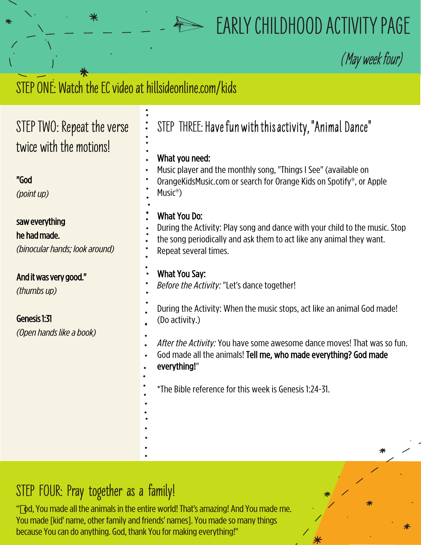## **EARLY CHILDHOOD ACTIVITY PAGE**

**(**May week four)

## STEP ONE: Watch the EC video at hillsideonline.com/kids

⋇

| STEP TWO: Repeat the verse<br>twice with the motions!<br>"God    | $\ddot{\bullet}$<br>STEP THREE: Have fun with this activity, "Animal Dance"<br>What you need:<br>Music player and the monthly song, "Things I See" (available on<br>OrangeKidsMusic.com or search for Orange Kids on Spotify®, or Apple |
|------------------------------------------------------------------|-----------------------------------------------------------------------------------------------------------------------------------------------------------------------------------------------------------------------------------------|
| (point up)                                                       | Music <sup>®</sup> )                                                                                                                                                                                                                    |
| saw everything<br>he had made.<br>(binocular hands; look around) | <b>What You Do:</b><br>During the Activity: Play song and dance with your child to the music. Stop<br>the song periodically and ask them to act like any animal they want.<br>Repeat several times.                                     |
| And it was very good."<br>(thumbs up)                            | What You Say:<br>Before the Activity: "Let's dance together!                                                                                                                                                                            |
| Genesis 1:31<br>(Open hands like a book)                         | During the Activity: When the music stops, act like an animal God made!<br>(Do activity.)                                                                                                                                               |
|                                                                  | After the Activity: You have some awesome dance moves! That was so fun.<br>God made all the animals! Tell me, who made everything? God made<br>everything!"                                                                             |
|                                                                  | *The Bible reference for this week is Genesis 1:24-31.                                                                                                                                                                                  |
|                                                                  | ⋇                                                                                                                                                                                                                                       |

## **STEP FOUR: Pray together as a family!**

" "od, You made all the animals in the entire world! That's amazing! And You made me. You made [kid' name, other family and friends' names]. You made so many things because You can do anything. God, thank You for making everything!"